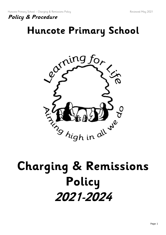

## **Huncote Primary School**



# **Charging & Remissions Policy 2021-2024**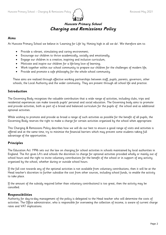### **Huncote Primary School Charging and Remissions Policy**

#### **Aims**

At Huncote Primary School we believe in 'Learning for Life' by 'Aiming high in all we do'. We therefore aim to:

- Provide a vibrant, stimulating and caring environment;
- Encourage our children to thrive academically, socially and emotionally;
- Engage our children in a creative, inspiring and inclusive curriculum;
- Motivate and inspire our children for a life-long love of learning;
- Work together within our school community to prepare our children for the challenges of modern life;
- Provide and promote a safe philosophy for the whole school community.

These aims are realised through effective working partnerships between staff, pupils, parents, governors, other schools, the Local Authority and the wider community. They are present through all school life and practice.

#### **Introduction**

The Governing Body recognises the valuable contribution that a wide range of activities, including clubs, trips and residential experiences can make towards pupils' personal and social education. The Governing body aims to promote and provide activities, both as part of a broad and balanced curriculum for the pupils of the school and as additional optional activities.

While wishing to promote and provide as broad a range of such activities as possible for the benefit of all pupils, the Governing Body reserves the right to make a charge for certain activities organised by the school when appropriate.

This Charging & Remissions Policy describes how we will do our best to ensure a good range of visits and activities is offered and at the same time, try to minimise the financial barriers which may prevent some students taking full advantage of the opportunities.

#### **Principles**

The Education Act 1996 sets out the law on charging for school activities in schools maintained by local authorities in England. The Act gives LA's and schools the discretion to charge for optional activities provided wholly or mainly out of school hours and the right to invite voluntary contributions for the benefit of the school or in support of any activity organised by the school, whether during or outside school hours.

If the full cost towards any of the optional activities is not available from voluntary contributions, then it will be at the Head teacher's discretion to further subsidise the cost from other sources, including school funds, to enable the activity to take place.

If the amount of the subsidy required (other than voluntary contributions) is too great, then the activity may be cancelled.

#### **Responsibilities**

Authority for day-to-day management of the policy is delegated to the Head teacher who will determine the costs of activities. The Office administrator, who is responsible for overseeing the collection of income, is aware of current charge rates and VAT implications.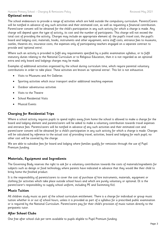#### **Optional extras**

The school endeavours to provide a range of activities which are held outside the compulsory curriculum. Parents/Carers will be notified in advance of any such activities and their estimated cost, as well as requesting a financial contribution. Parent/carer consent will be obtained for the child's participation in any such activity for which a charge is made. Any charge will depend upon the type of activity, its cost and the number of participants. This charge will not exceed the total cost of providing the activity. Charges may include an appropriate element of: the pupil's travel cost; the pupil's board and lodging cost; materials, books, instruments and other equipment; extra staff costs; entrance fees to museums, castles, theatres etc; insurance costs; the expenses only of participating teachers engaged on a separate contract to provide and 'optional extra'.

Where such an activity is provided to fulfil any requirements specified by a public examination syllabus, or to fulfil statutory duties relating to the National Curriculum or to Religious Education, then it is not regarded as an optional extra and only board and lodgings charges may be made.

Examples of additional activities organised by the school during curriculum time, which require parental voluntary contributions in order to take place. These activities are known as 'optional extras'. This list is not exhaustive.

- Visits to Museums and Art Galleries
- Sporting activities which incur transport and/or additional teaching expenses
- Outdoor adventurous activities
- Visits to the Theatre
- School Residential Visits
- Musical Events

#### **Charging for Residential Trips**

Where a school activity requires pupils to spend nights away from home the school is allowed to make a charge for the board and lodging element and parents/carers will be asked to make a voluntary contribution towards travel expenses and entrance fees. Parents/carers will be notified in advance of any such activities and their estimated cost and parent/carer consent will be obtained for a child's participation in any such activity for which a charge is made. Charges will be calculated by reference to the actual cost of providing travel, activities, board and lodging for each pupil; no other cost will be covered by the charge.

We are able to subsidise fees for board and lodging where families qualify for remission through the use of Pupil Premium funding.

#### **Materials, Equipment and Ingredients**

The Governing Body reserves the right to ask for a voluntary contribution towards the costs of materials/ingredients for subjects such as design or food technology where parents have indicated in advance that they would like their child to bring home the finished product.

It is the responsibility of parents/carers to cover the cost of purchase of hire instruments, materials, equipment or clothing for activities which take place outside school hours and which are purely voluntary or optional. (It is the parent/carer's responsibility to supply school uniform, including PE and Swimming Kit).

#### **Music Tuition**

All children study music as part of the school curriculum entitlement. There is a charge for individual or group music tuition whether in or out of school hours, unless it is provided as part of a syllabus for a prescribed public examination or is required by the National Curriculum. Parent/carers pay for their child's provision of music tuition directly to the peripatetic tutor.

#### **After School Clubs**

One free after school club per term available to pupils eligible to Pupil Premium funding.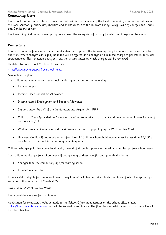#### **Community Users**

The school may arrange to hire its premises and facilities to members of the local community, other organisations with the Local Authority, businesses, charities and sports clubs. See the Huncote Hiring Policy, Scale of charges and Terms and Conditions of hire.

The Governing Body may, when appropriate amend the categories of activity for which a charge may be made.

#### **Remissions**

In order to remove financial barriers from disadvantaged pupils, the Governing Body has agreed that some activities and visits where charges can legally be made will be offered at no charge or a reduced charge to parents in particular circumstances. This remission policy sets out the circumstances in which charges will be reviewed:

Eligibility to Free School Meals – DfE website

<https://www.gov.uk/apply-free-school-meals>

#### Available in England.

Your child may be able to get free school meals if you get any of the following:

- Income Support
- Income Based Jobseekers Allowance
- Income-related Employment and Support Allowance
- Support under Part VI of the Immigration and Asylum Act 1999
- Child Tax Credit (provided you're not also entitled to Working Tax Credit and have an annual gross income of no more £16,190
- Working tax credit run-on paid for 4 weeks after you stop qualifying for Working Tax Credit
- Universal Credit if you apply on or after 1 April 2018 your household income must be less than £7,400 a year (after tax and not including any benefits you get)

Children who get paid these benefits directly, instead of through a parent or guardian, can also get free school meals.

Your child may also get free school meals if you get any of these benefits and your child is both:

- Younger than the compulsory age for starting school
- In full-time education

If your child is eligible for free school meals, they'll remain eligible until they finish the phase of schooling (primary or secondary) they're in on 31 March 2022.

Last updated: 17<sup>th</sup> November 2020

These conditions are subject to change.

Application for remission should be made to the School Office administrator on the school office e mail [office@huncote.embracemat.org](mailto:office@huncote.embracemat.org) and will be treated in confidence. The final decision with regard to assistance lies with the Head teacher.